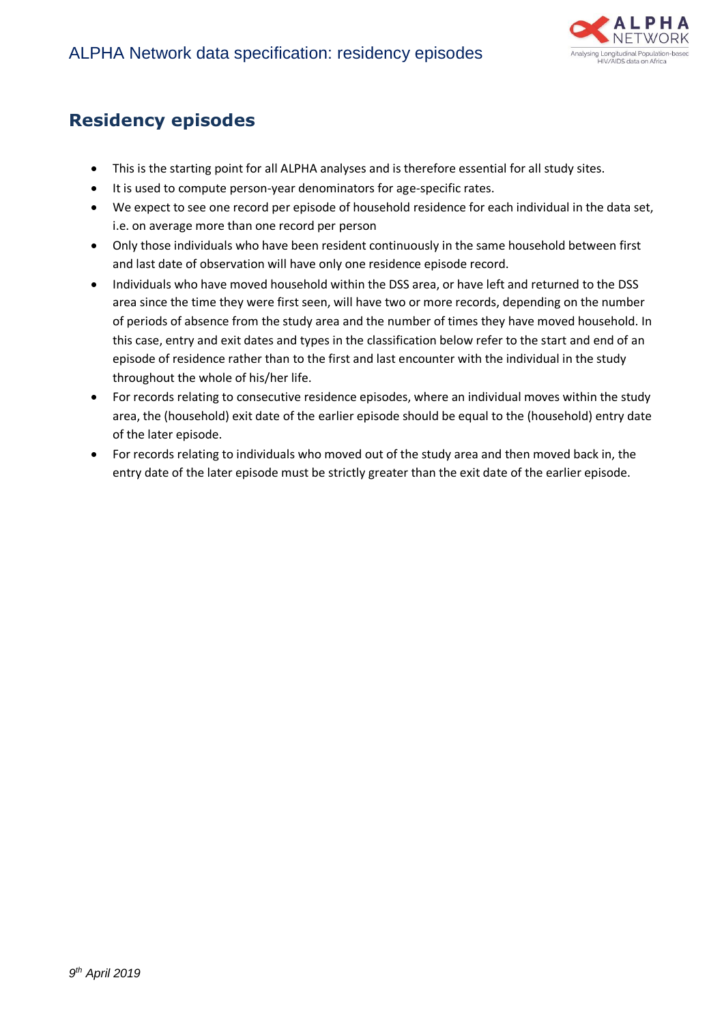

## **Residency episodes**

- This is the starting point for all ALPHA analyses and is therefore essential for all study sites.
- It is used to compute person-year denominators for age-specific rates.
- We expect to see one record per episode of household residence for each individual in the data set, i.e. on average more than one record per person
- Only those individuals who have been resident continuously in the same household between first and last date of observation will have only one residence episode record.
- Individuals who have moved household within the DSS area, or have left and returned to the DSS area since the time they were first seen, will have two or more records, depending on the number of periods of absence from the study area and the number of times they have moved household. In this case, entry and exit dates and types in the classification below refer to the start and end of an episode of residence rather than to the first and last encounter with the individual in the study throughout the whole of his/her life.
- For records relating to consecutive residence episodes, where an individual moves within the study area, the (household) exit date of the earlier episode should be equal to the (household) entry date of the later episode.
- For records relating to individuals who moved out of the study area and then moved back in, the entry date of the later episode must be strictly greater than the exit date of the earlier episode.